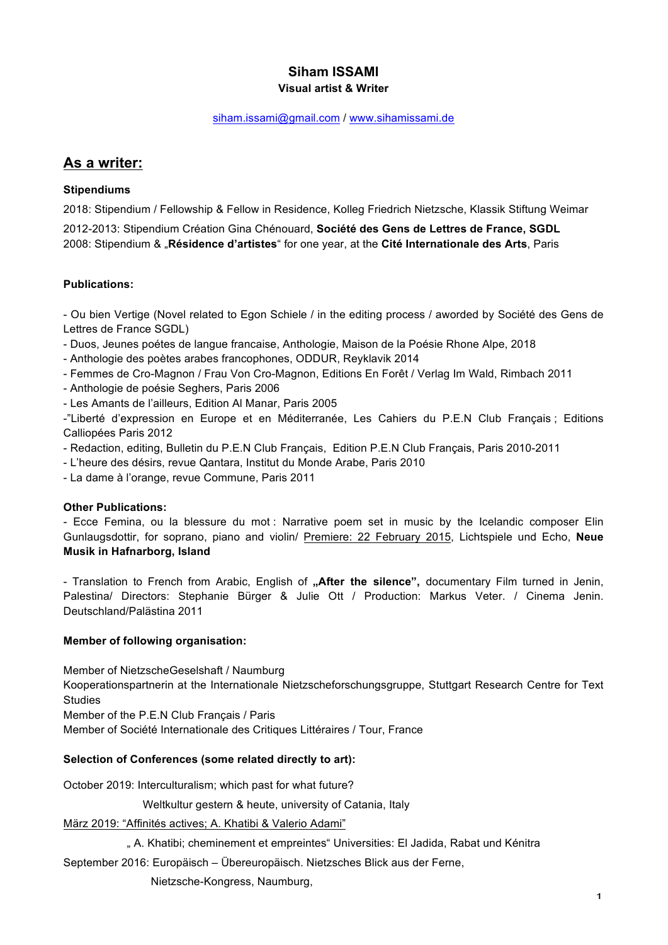## **Siham ISSAMI Visual artist & Writer**

#### siham.issami@gmail.com / www.sihamissami.de

## **As a writer:**

## **Stipendiums**

2018: Stipendium / Fellowship & Fellow in Residence, Kolleg Friedrich Nietzsche, Klassik Stiftung Weimar 2012-2013: Stipendium Création Gina Chénouard, **Société des Gens de Lettres de France, SGDL** 2008: Stipendium & "**Résidence d'artistes**" for one year, at the **Cité Internationale des Arts**, Paris

## **Publications:**

- Ou bien Vertige (Novel related to Egon Schiele / in the editing process / aworded by Société des Gens de Lettres de France SGDL)

- Duos, Jeunes poétes de langue francaise, Anthologie, Maison de la Poésie Rhone Alpe, 2018

- Anthologie des poètes arabes francophones, ODDUR, Reyklavik 2014

- Femmes de Cro-Magnon / Frau Von Cro-Magnon, Editions En Forêt / Verlag Im Wald, Rimbach 2011

- Anthologie de poésie Seghers, Paris 2006
- Les Amants de l'ailleurs, Edition Al Manar, Paris 2005

-"Liberté d'expression en Europe et en Méditerranée, Les Cahiers du P.E.N Club Français ; Editions Calliopées Paris 2012

- Redaction, editing, Bulletin du P.E.N Club Français, Edition P.E.N Club Français, Paris 2010-2011

- L'heure des désirs, revue Qantara, Institut du Monde Arabe, Paris 2010

- La dame à l'orange, revue Commune, Paris 2011

#### **Other Publications:**

- Ecce Femina, ou la blessure du mot : Narrative poem set in music by the Icelandic composer Elin Gunlaugsdottir, for soprano, piano and violin/ Premiere: 22 February 2015, Lichtspiele und Echo, **Neue Musik in Hafnarborg, Island**

- Translation to French from Arabic, English of "After the silence", documentary Film turned in Jenin, Palestina/ Directors: Stephanie Bürger & Julie Ott / Production: Markus Veter. / Cinema Jenin. Deutschland/Palästina 2011

#### **Member of following organisation:**

Member of NietzscheGeselshaft / Naumburg Kooperationspartnerin at the Internationale Nietzscheforschungsgruppe, Stuttgart Research Centre for Text **Studies** Member of the P.E.N Club Français / Paris

Member of Société Internationale des Critiques Littéraires / Tour, France

## **Selection of Conferences (some related directly to art):**

October 2019: Interculturalism; which past for what future?

Weltkultur gestern & heute, university of Catania, Italy

März 2019: "Affinités actives; A. Khatibi & Valerio Adami"

" A. Khatibi; cheminement et empreintes" Universities: El Jadida, Rabat und Kénitra

September 2016: Europäisch – Übereuropäisch. Nietzsches Blick aus der Ferne,

Nietzsche-Kongress, Naumburg,